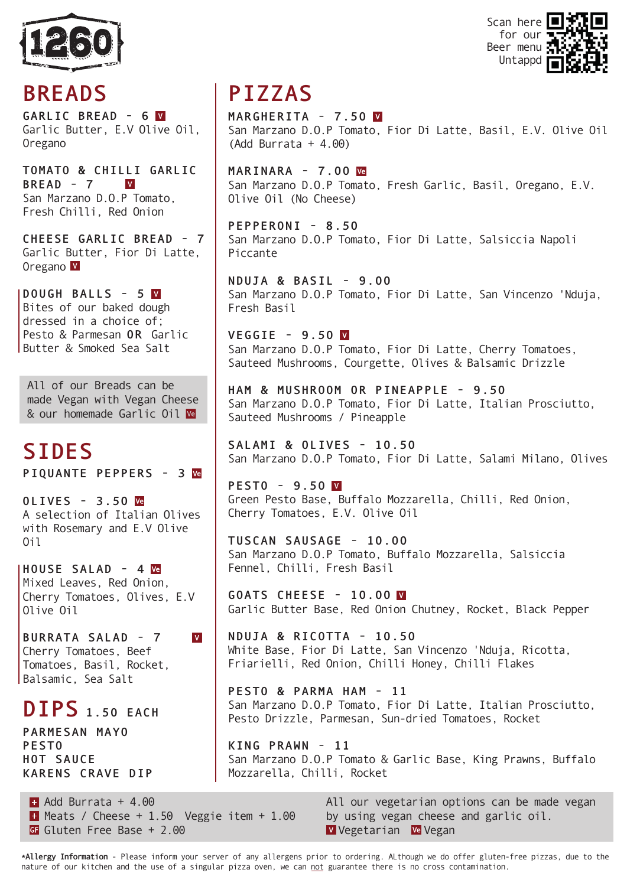



# **BREADS**

**GARLIC BREAD - 6** Garlic Butter, E.V Olive Oil, Oregano

**TOMATO & CHILLI GARLIC BREAD - 7**  $|V|$ San Marzano D.O.P Tomato, Fresh Chilli, Red Onion

**CHEESE GARLIC BREAD - 7** Garlic Butter, Fior Di Latte, Oregano V

**DOUGH BALLS - 5** Bites of our baked dough dressed in a choice of; Pesto & Parmesan **OR** Garlic Butter & Smoked Sea Salt

All of our Breads can be made Vegan with Vegan Cheese & our homemade Garlic Oil We

# **SIDES**

**PIQUANTE PEPPERS - 3**

**OLIVES - 3.50** A selection of Italian Olives with Rosemary and E.V Olive Oil

**HOUSE SALAD - 4** Mixed Leaves, Red Onion, Cherry Tomatoes, Olives, E.V Olive Oil

**BURRATA SALAD - 7** Cherry Tomatoes, Beef Tomatoes, Basil, Rocket, Balsamic, Sea Salt

### **DIPS 1.50 EACH**

**PARMESAN MAYO PESTO HOT SAUCE KARENS CRAVE DIP**

# **PIZZAS**

**MARGHERITA - 7.50** San Marzano D.O.P Tomato, Fior Di Latte, Basil, E.V. Olive Oil (Add Burrata + 4.00)

**MARINARA - 7.00** San Marzano D.O.P Tomato, Fresh Garlic, Basil, Oregano, E.V. Olive Oil (No Cheese)

**PEPPERONI - 8.50** San Marzano D.O.P Tomato, Fior Di Latte, Salsiccia Napoli Piccante

**NDUJA & BASIL - 9.00** San Marzano D.O.P Tomato, Fior Di Latte, San Vincenzo 'Nduja, Fresh Basil

**VEGGIE - 9.50**  San Marzano D.O.P Tomato, Fior Di Latte, Cherry Tomatoes, Sauteed Mushrooms, Courgette, Olives & Balsamic Drizzle

**HAM & MUSHROOM OR PINEAPPLE - 9.50** San Marzano D.O.P Tomato, Fior Di Latte, Italian Prosciutto, Sauteed Mushrooms / Pineapple

**SALAMI & OLIVES - 10.50** San Marzano D.O.P Tomato, Fior Di Latte, Salami Milano, Olives

**PESTO - 9.50** Green Pesto Base, Buffalo Mozzarella, Chilli, Red Onion, Cherry Tomatoes, E.V. Olive Oil

**TUSCAN SAUSAGE - 10.00** San Marzano D.O.P Tomato, Buffalo Mozzarella, Salsiccia Fennel, Chilli, Fresh Basil

**GOATS CHEESE - 10.00** Garlic Butter Base, Red Onion Chutney, Rocket, Black Pepper

**NDUJA & RICOTTA - 10.50** White Base, Fior Di Latte, San Vincenzo 'Nduja, Ricotta, Friarielli, Red Onion, Chilli Honey, Chilli Flakes

**PESTO & PARMA HAM - 11** San Marzano D.O.P Tomato, Fior Di Latte, Italian Prosciutto, Pesto Drizzle, Parmesan, Sun-dried Tomatoes, Rocket

**KING PRAWN - 11** San Marzano D.O.P Tomato & Garlic Base, King Prawns, Buffalo Mozzarella, Chilli, Rocket

 $\blacksquare$  Add Burrata + 4.00  $\blacksquare$  Meats / Cheese + 1.50 Veggie item + 1.00 G Gluten Free Base + 2.00

 $\overline{\mathbf{V}}$ 

All our vegetarian options can be made vegan by using vegan cheese and garlic oil. V Vegetarian Ve Vegan

**\*Allergy Information** - Please inform your server of any allergens prior to ordering. ALthough we do offer gluten-free pizzas, due to the nature of our kitchen and the use of a singular pizza oven, we can not guarantee there is no cross contamination.